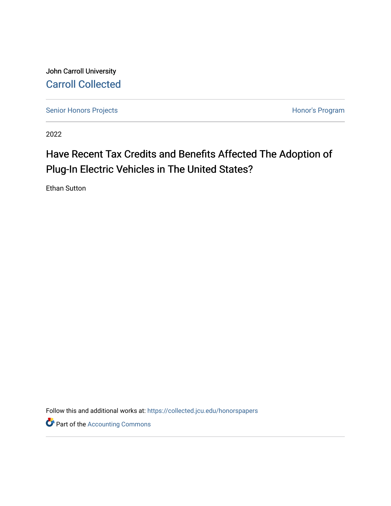John Carroll University [Carroll Collected](https://collected.jcu.edu/) 

[Senior Honors Projects](https://collected.jcu.edu/honorspapers) **Honor's Program** 

2022

# Have Recent Tax Credits and Benefits Affected The Adoption of Plug-In Electric Vehicles in The United States?

Ethan Sutton

Follow this and additional works at: [https://collected.jcu.edu/honorspapers](https://collected.jcu.edu/honorspapers?utm_source=collected.jcu.edu%2Fhonorspapers%2F147&utm_medium=PDF&utm_campaign=PDFCoverPages)

**Part of the [Accounting Commons](https://network.bepress.com/hgg/discipline/625?utm_source=collected.jcu.edu%2Fhonorspapers%2F147&utm_medium=PDF&utm_campaign=PDFCoverPages)**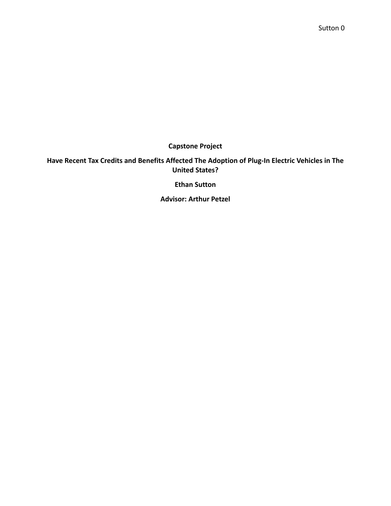**Capstone Project**

**Have Recent Tax Credits and Benefits Affected The Adoption of Plug-In Electric Vehicles in The United States?**

**Ethan Sutton**

**Advisor: Arthur Petzel**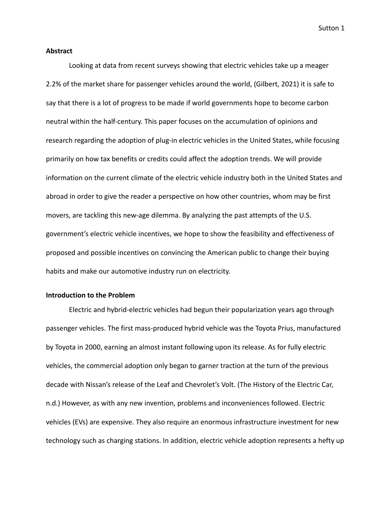## **Abstract**

Looking at data from recent surveys showing that electric vehicles take up a meager 2.2% of the market share for passenger vehicles around the world, (Gilbert, 2021) it is safe to say that there is a lot of progress to be made if world governments hope to become carbon neutral within the half-century. This paper focuses on the accumulation of opinions and research regarding the adoption of plug-in electric vehicles in the United States, while focusing primarily on how tax benefits or credits could affect the adoption trends. We will provide information on the current climate of the electric vehicle industry both in the United States and abroad in order to give the reader a perspective on how other countries, whom may be first movers, are tackling this new-age dilemma. By analyzing the past attempts of the U.S. government's electric vehicle incentives, we hope to show the feasibility and effectiveness of proposed and possible incentives on convincing the American public to change their buying habits and make our automotive industry run on electricity.

## **Introduction to the Problem**

Electric and hybrid-electric vehicles had begun their popularization years ago through passenger vehicles. The first mass-produced hybrid vehicle was the Toyota Prius, manufactured by Toyota in 2000, earning an almost instant following upon its release. As for fully electric vehicles, the commercial adoption only began to garner traction at the turn of the previous decade with Nissan's release of the Leaf and Chevrolet's Volt. (The History of the Electric Car, n.d.) However, as with any new invention, problems and inconveniences followed. Electric vehicles (EVs) are expensive. They also require an enormous infrastructure investment for new technology such as charging stations. In addition, electric vehicle adoption represents a hefty up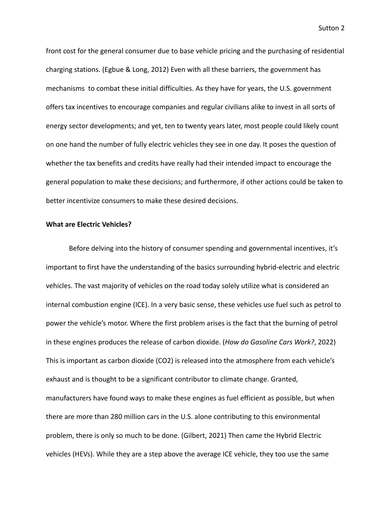front cost for the general consumer due to base vehicle pricing and the purchasing of residential charging stations. (Egbue & Long, 2012) Even with all these barriers, the government has mechanisms to combat these initial difficulties. As they have for years, the U.S. government offers tax incentives to encourage companies and regular civilians alike to invest in all sorts of energy sector developments; and yet, ten to twenty years later, most people could likely count on one hand the number of fully electric vehicles they see in one day. It poses the question of whether the tax benefits and credits have really had their intended impact to encourage the general population to make these decisions; and furthermore, if other actions could be taken to better incentivize consumers to make these desired decisions.

## **What are Electric Vehicles?**

Before delving into the history of consumer spending and governmental incentives, it's important to first have the understanding of the basics surrounding hybrid-electric and electric vehicles. The vast majority of vehicles on the road today solely utilize what is considered an internal combustion engine (ICE). In a very basic sense, these vehicles use fuel such as petrol to power the vehicle's motor. Where the first problem arises is the fact that the burning of petrol in these engines produces the release of carbon dioxide. (*How do Gasoline Cars Work?*, 2022) This is important as carbon dioxide (CO2) is released into the atmosphere from each vehicle's exhaust and is thought to be a significant contributor to climate change. Granted, manufacturers have found ways to make these engines as fuel efficient as possible, but when there are more than 280 million cars in the U.S. alone contributing to this environmental problem, there is only so much to be done. (Gilbert, 2021) Then came the Hybrid Electric vehicles (HEVs). While they are a step above the average ICE vehicle, they too use the same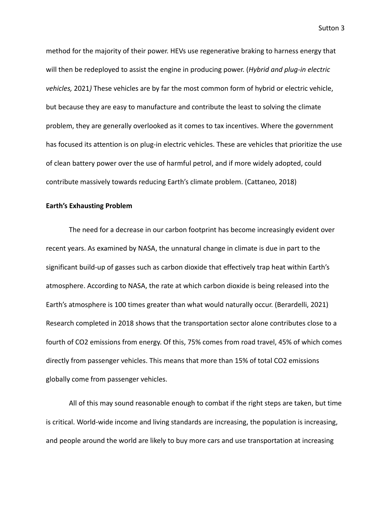method for the majority of their power. HEVs use regenerative braking to harness energy that will then be redeployed to assist the engine in producing power. (*Hybrid and plug-in electric vehicles,* 2021*)* These vehicles are by far the most common form of hybrid or electric vehicle, but because they are easy to manufacture and contribute the least to solving the climate problem, they are generally overlooked as it comes to tax incentives. Where the government has focused its attention is on plug-in electric vehicles. These are vehicles that prioritize the use of clean battery power over the use of harmful petrol, and if more widely adopted, could contribute massively towards reducing Earth's climate problem. (Cattaneo, 2018)

#### **Earth's Exhausting Problem**

The need for a decrease in our carbon footprint has become increasingly evident over recent years. As examined by NASA, the unnatural change in climate is due in part to the significant build-up of gasses such as carbon dioxide that effectively trap heat within Earth's atmosphere. According to NASA, the rate at which carbon dioxide is being released into the Earth's atmosphere is 100 times greater than what would naturally occur. (Berardelli, 2021) Research completed in 2018 shows that the transportation sector alone contributes close to a fourth of CO2 emissions from energy. Of this, 75% comes from road travel, 45% of which comes directly from passenger vehicles. This means that more than 15% of total CO2 emissions globally come from passenger vehicles.

All of this may sound reasonable enough to combat if the right steps are taken, but time is critical. World-wide income and living standards are increasing, the population is increasing, and people around the world are likely to buy more cars and use transportation at increasing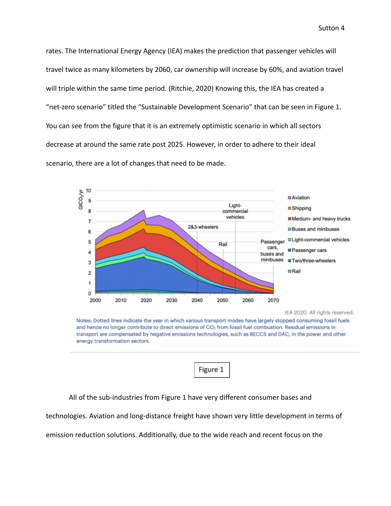rates. The International Energy Agency (IEA) makes the prediction that passenger vehicles will travel twice as many kilometers by 2060, car ownership will increase by 60%, and aviation travel

will triple within the same time period. (Ritchie, 2020) Knowing this, the IEA has created a "net-zero scenario" titled the "Sustainable Development Scenario" that can be seen in Figure 1. You can see from the figure that it is an extremely optimistic scenario in which all sectors decrease at around the same rate post 2025. However, in order to adhere to their ideal scenario, there are a lot of changes that need to be made.







All of the sub-industries from Figure 1 have very different consumer bases and

technologies. Aviation and long-distance freight have shown very little development in terms of

emission reduction solutions. Additionally, due to the wide reach and recent focus on the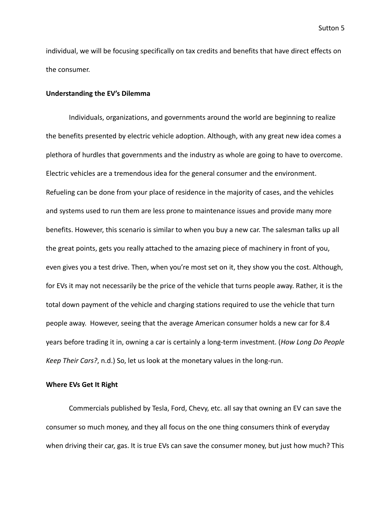individual, we will be focusing specifically on tax credits and benefits that have direct effects on the consumer.

#### **Understanding the EV's Dilemma**

Individuals, organizations, and governments around the world are beginning to realize the benefits presented by electric vehicle adoption. Although, with any great new idea comes a plethora of hurdles that governments and the industry as whole are going to have to overcome. Electric vehicles are a tremendous idea for the general consumer and the environment. Refueling can be done from your place of residence in the majority of cases, and the vehicles and systems used to run them are less prone to maintenance issues and provide many more benefits. However, this scenario is similar to when you buy a new car. The salesman talks up all the great points, gets you really attached to the amazing piece of machinery in front of you, even gives you a test drive. Then, when you're most set on it, they show you the cost. Although, for EVs it may not necessarily be the price of the vehicle that turns people away. Rather, it is the total down payment of the vehicle and charging stations required to use the vehicle that turn people away. However, seeing that the average American consumer holds a new car for 8.4 years before trading it in, owning a car is certainly a long-term investment. (*How Long Do People Keep Their Cars?*, n.d.) So, let us look at the monetary values in the long-run.

#### **Where EVs Get It Right**

Commercials published by Tesla, Ford, Chevy, etc. all say that owning an EV can save the consumer so much money, and they all focus on the one thing consumers think of everyday when driving their car, gas. It is true EVs can save the consumer money, but just how much? This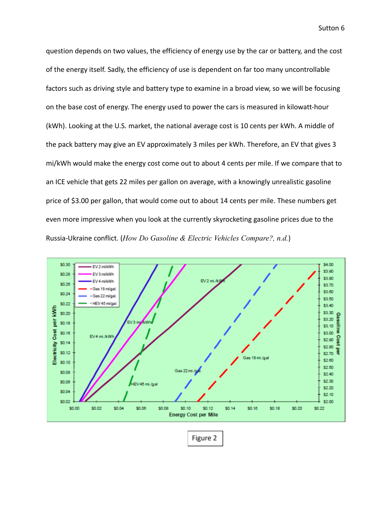question depends on two values, the efficiency of energy use by the car or battery, and the cost of the energy itself. Sadly, the efficiency of use is dependent on far too many uncontrollable factors such as driving style and battery type to examine in a broad view, so we will be focusing on the base cost of energy. The energy used to power the cars is measured in kilowatt-hour (kWh). Looking at the U.S. market, the national average cost is 10 cents per kWh. A middle of the pack battery may give an EV approximately 3 miles per kWh. Therefore, an EV that gives 3 mi/kWh would make the energy cost come out to about 4 cents per mile. If we compare that to an ICE vehicle that gets 22 miles per gallon on average, with a knowingly unrealistic gasoline price of \$3.00 per gallon, that would come out to about 14 cents per mile. These numbers get even more impressive when you look at the currently skyrocketing gasoline prices due to the Russia-Ukraine conflict. (*How Do Gasoline & Electric Vehicles Compare?, n.d.*)



Figure 2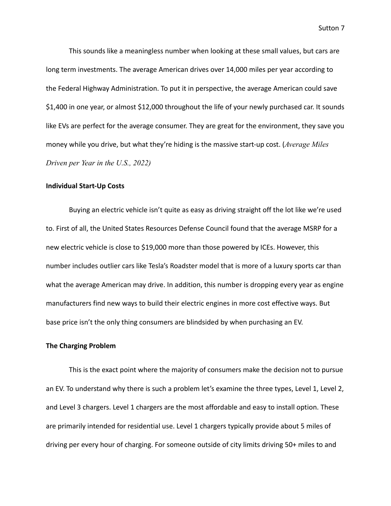This sounds like a meaningless number when looking at these small values, but cars are long term investments. The average American drives over 14,000 miles per year according to the Federal Highway Administration. To put it in perspective, the average American could save \$1,400 in one year, or almost \$12,000 throughout the life of your newly purchased car. It sounds like EVs are perfect for the average consumer. They are great for the environment, they save you money while you drive, but what they're hiding is the massive start-up cost. (*Average Miles Driven per Year in the U.S., 2022)*

## **Individual Start-Up Costs**

Buying an electric vehicle isn't quite as easy as driving straight off the lot like we're used to. First of all, the United States Resources Defense Council found that the average MSRP for a new electric vehicle is close to \$19,000 more than those powered by ICEs. However, this number includes outlier cars like Tesla's Roadster model that is more of a luxury sports car than what the average American may drive. In addition, this number is dropping every year as engine manufacturers find new ways to build their electric engines in more cost effective ways. But base price isn't the only thing consumers are blindsided by when purchasing an EV.

#### **The Charging Problem**

This is the exact point where the majority of consumers make the decision not to pursue an EV. To understand why there is such a problem let's examine the three types, Level 1, Level 2, and Level 3 chargers. Level 1 chargers are the most affordable and easy to install option. These are primarily intended for residential use. Level 1 chargers typically provide about 5 miles of driving per every hour of charging. For someone outside of city limits driving 50+ miles to and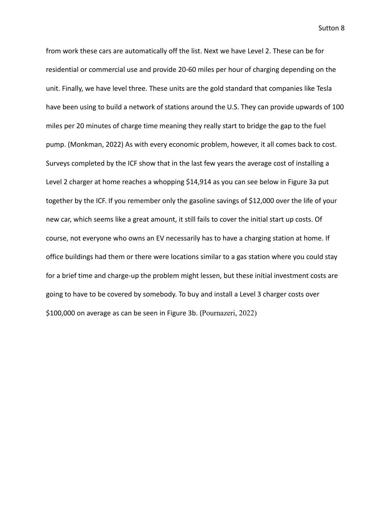from work these cars are automatically off the list. Next we have Level 2. These can be for residential or commercial use and provide 20-60 miles per hour of charging depending on the unit. Finally, we have level three. These units are the gold standard that companies like Tesla have been using to build a network of stations around the U.S. They can provide upwards of 100 miles per 20 minutes of charge time meaning they really start to bridge the gap to the fuel pump. (Monkman, 2022) As with every economic problem, however, it all comes back to cost. Surveys completed by the ICF show that in the last few years the average cost of installing a Level 2 charger at home reaches a whopping \$14,914 as you can see below in Figure 3a put together by the ICF. If you remember only the gasoline savings of \$12,000 over the life of your new car, which seems like a great amount, it still fails to cover the initial start up costs. Of course, not everyone who owns an EV necessarily has to have a charging station at home. If office buildings had them or there were locations similar to a gas station where you could stay for a brief time and charge-up the problem might lessen, but these initial investment costs are going to have to be covered by somebody. To buy and install a Level 3 charger costs over \$100,000 on average as can be seen in Figure 3b. (Pournazeri, 2022)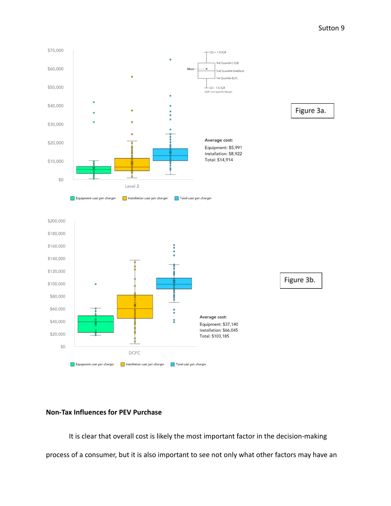

## **Non-Tax Influences for PEV Purchase**

It is clear that overall cost is likely the most important factor in the decision-making process of a consumer, but it is also important to see not only what other factors may have an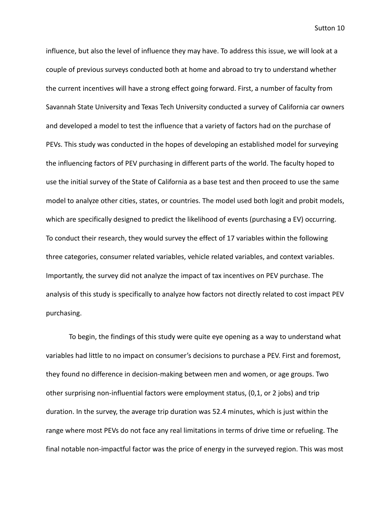influence, but also the level of influence they may have. To address this issue, we will look at a couple of previous surveys conducted both at home and abroad to try to understand whether the current incentives will have a strong effect going forward. First, a number of faculty from Savannah State University and Texas Tech University conducted a survey of California car owners and developed a model to test the influence that a variety of factors had on the purchase of PEVs. This study was conducted in the hopes of developing an established model for surveying the influencing factors of PEV purchasing in different parts of the world. The faculty hoped to use the initial survey of the State of California as a base test and then proceed to use the same model to analyze other cities, states, or countries. The model used both logit and probit models, which are specifically designed to predict the likelihood of events (purchasing a EV) occurring. To conduct their research, they would survey the effect of 17 variables within the following three categories, consumer related variables, vehicle related variables, and context variables. Importantly, the survey did not analyze the impact of tax incentives on PEV purchase. The analysis of this study is specifically to analyze how factors not directly related to cost impact PEV purchasing.

To begin, the findings of this study were quite eye opening as a way to understand what variables had little to no impact on consumer's decisions to purchase a PEV. First and foremost, they found no difference in decision-making between men and women, or age groups. Two other surprising non-influential factors were employment status, (0,1, or 2 jobs) and trip duration. In the survey, the average trip duration was 52.4 minutes, which is just within the range where most PEVs do not face any real limitations in terms of drive time or refueling. The final notable non-impactful factor was the price of energy in the surveyed region. This was most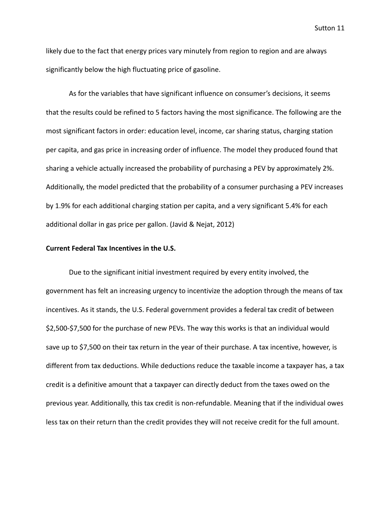likely due to the fact that energy prices vary minutely from region to region and are always significantly below the high fluctuating price of gasoline.

As for the variables that have significant influence on consumer's decisions, it seems that the results could be refined to 5 factors having the most significance. The following are the most significant factors in order: education level, income, car sharing status, charging station per capita, and gas price in increasing order of influence. The model they produced found that sharing a vehicle actually increased the probability of purchasing a PEV by approximately 2%. Additionally, the model predicted that the probability of a consumer purchasing a PEV increases by 1.9% for each additional charging station per capita, and a very significant 5.4% for each additional dollar in gas price per gallon. (Javid & Nejat, 2012)

#### **Current Federal Tax Incentives in the U.S.**

Due to the significant initial investment required by every entity involved, the government has felt an increasing urgency to incentivize the adoption through the means of tax incentives. As it stands, the U.S. Federal government provides a federal tax credit of between \$2,500-\$7,500 for the purchase of new PEVs. The way this works is that an individual would save up to \$7,500 on their tax return in the year of their purchase. A tax incentive, however, is different from tax deductions. While deductions reduce the taxable income a taxpayer has, a tax credit is a definitive amount that a taxpayer can directly deduct from the taxes owed on the previous year. Additionally, this tax credit is non-refundable. Meaning that if the individual owes less tax on their return than the credit provides they will not receive credit for the full amount.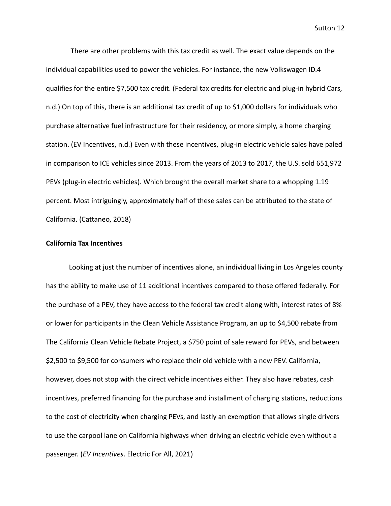There are other problems with this tax credit as well. The exact value depends on the individual capabilities used to power the vehicles. For instance, the new Volkswagen ID.4 qualifies for the entire \$7,500 tax credit. (Federal tax credits for electric and plug-in hybrid Cars, n.d.) On top of this, there is an additional tax credit of up to \$1,000 dollars for individuals who purchase alternative fuel infrastructure for their residency, or more simply, a home charging station. (EV Incentives, n.d.) Even with these incentives, plug-in electric vehicle sales have paled in comparison to ICE vehicles since 2013. From the years of 2013 to 2017, the U.S. sold 651,972 PEVs (plug-in electric vehicles). Which brought the overall market share to a whopping 1.19 percent. Most intriguingly, approximately half of these sales can be attributed to the state of California. (Cattaneo, 2018)

## **California Tax Incentives**

Looking at just the number of incentives alone, an individual living in Los Angeles county has the ability to make use of 11 additional incentives compared to those offered federally. For the purchase of a PEV, they have access to the federal tax credit along with, interest rates of 8% or lower for participants in the Clean Vehicle Assistance Program, an up to \$4,500 rebate from The California Clean Vehicle Rebate Project, a \$750 point of sale reward for PEVs, and between \$2,500 to \$9,500 for consumers who replace their old vehicle with a new PEV. California, however, does not stop with the direct vehicle incentives either. They also have rebates, cash incentives, preferred financing for the purchase and installment of charging stations, reductions to the cost of electricity when charging PEVs, and lastly an exemption that allows single drivers to use the carpool lane on California highways when driving an electric vehicle even without a passenger. (*EV Incentives*. Electric For All, 2021)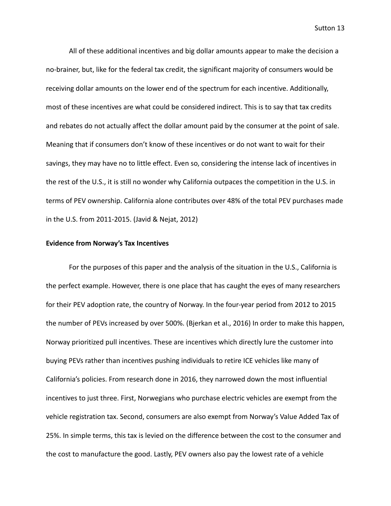All of these additional incentives and big dollar amounts appear to make the decision a no-brainer, but, like for the federal tax credit, the significant majority of consumers would be receiving dollar amounts on the lower end of the spectrum for each incentive. Additionally, most of these incentives are what could be considered indirect. This is to say that tax credits and rebates do not actually affect the dollar amount paid by the consumer at the point of sale. Meaning that if consumers don't know of these incentives or do not want to wait for their savings, they may have no to little effect. Even so, considering the intense lack of incentives in the rest of the U.S., it is still no wonder why California outpaces the competition in the U.S. in terms of PEV ownership. California alone contributes over 48% of the total PEV purchases made in the U.S. from 2011-2015. (Javid & Nejat, 2012)

#### **Evidence from Norway's Tax Incentives**

For the purposes of this paper and the analysis of the situation in the U.S., California is the perfect example. However, there is one place that has caught the eyes of many researchers for their PEV adoption rate, the country of Norway. In the four-year period from 2012 to 2015 the number of PEVs increased by over 500%. (Bjerkan et al., 2016) In order to make this happen, Norway prioritized pull incentives. These are incentives which directly lure the customer into buying PEVs rather than incentives pushing individuals to retire ICE vehicles like many of California's policies. From research done in 2016, they narrowed down the most influential incentives to just three. First, Norwegians who purchase electric vehicles are exempt from the vehicle registration tax. Second, consumers are also exempt from Norway's Value Added Tax of 25%. In simple terms, this tax is levied on the difference between the cost to the consumer and the cost to manufacture the good. Lastly, PEV owners also pay the lowest rate of a vehicle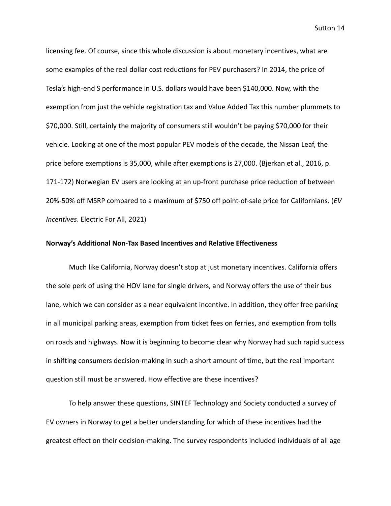licensing fee. Of course, since this whole discussion is about monetary incentives, what are some examples of the real dollar cost reductions for PEV purchasers? In 2014, the price of Tesla's high-end S performance in U.S. dollars would have been \$140,000. Now, with the exemption from just the vehicle registration tax and Value Added Tax this number plummets to \$70,000. Still, certainly the majority of consumers still wouldn't be paying \$70,000 for their vehicle. Looking at one of the most popular PEV models of the decade, the Nissan Leaf, the price before exemptions is 35,000, while after exemptions is 27,000. (Bjerkan et al., 2016, p. 171-172) Norwegian EV users are looking at an up-front purchase price reduction of between 20%-50% off MSRP compared to a maximum of \$750 off point-of-sale price for Californians. (*EV Incentives*. Electric For All, 2021)

## **Norway's Additional Non-Tax Based Incentives and Relative Effectiveness**

Much like California, Norway doesn't stop at just monetary incentives. California offers the sole perk of using the HOV lane for single drivers, and Norway offers the use of their bus lane, which we can consider as a near equivalent incentive. In addition, they offer free parking in all municipal parking areas, exemption from ticket fees on ferries, and exemption from tolls on roads and highways. Now it is beginning to become clear why Norway had such rapid success in shifting consumers decision-making in such a short amount of time, but the real important question still must be answered. How effective are these incentives?

To help answer these questions, SINTEF Technology and Society conducted a survey of EV owners in Norway to get a better understanding for which of these incentives had the greatest effect on their decision-making. The survey respondents included individuals of all age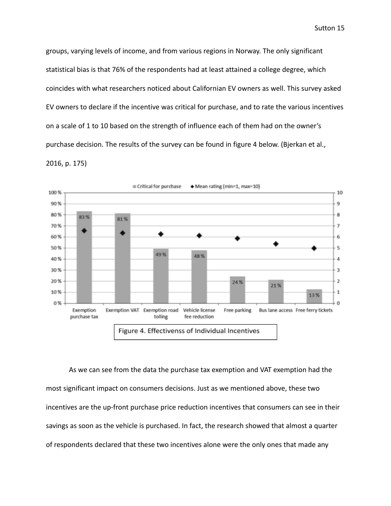groups, varying levels of income, and from various regions in Norway. The only significant statistical bias is that 76% of the respondents had at least attained a college degree, which coincides with what researchers noticed about Californian EV owners as well. This survey asked EV owners to declare if the incentive was critical for purchase, and to rate the various incentives on a scale of 1 to 10 based on the strength of influence each of them had on the owner's purchase decision. The results of the survey can be found in figure 4 below. (Bjerkan et al., 2016, p. 175)



As we can see from the data the purchase tax exemption and VAT exemption had the most significant impact on consumers decisions. Just as we mentioned above, these two incentives are the up-front purchase price reduction incentives that consumers can see in their savings as soon as the vehicle is purchased. In fact, the research showed that almost a quarter of respondents declared that these two incentives alone were the only ones that made any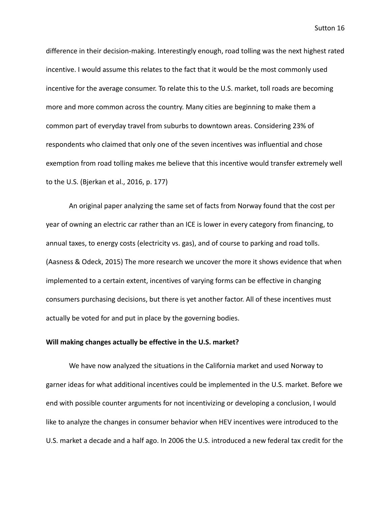difference in their decision-making. Interestingly enough, road tolling was the next highest rated incentive. I would assume this relates to the fact that it would be the most commonly used incentive for the average consumer. To relate this to the U.S. market, toll roads are becoming more and more common across the country. Many cities are beginning to make them a common part of everyday travel from suburbs to downtown areas. Considering 23% of respondents who claimed that only one of the seven incentives was influential and chose exemption from road tolling makes me believe that this incentive would transfer extremely well to the U.S. (Bjerkan et al., 2016, p. 177)

An original paper analyzing the same set of facts from Norway found that the cost per year of owning an electric car rather than an ICE is lower in every category from financing, to annual taxes, to energy costs (electricity vs. gas), and of course to parking and road tolls. (Aasness & Odeck, 2015) The more research we uncover the more it shows evidence that when implemented to a certain extent, incentives of varying forms can be effective in changing consumers purchasing decisions, but there is yet another factor. All of these incentives must actually be voted for and put in place by the governing bodies.

## **Will making changes actually be effective in the U.S. market?**

We have now analyzed the situations in the California market and used Norway to garner ideas for what additional incentives could be implemented in the U.S. market. Before we end with possible counter arguments for not incentivizing or developing a conclusion, I would like to analyze the changes in consumer behavior when HEV incentives were introduced to the U.S. market a decade and a half ago. In 2006 the U.S. introduced a new federal tax credit for the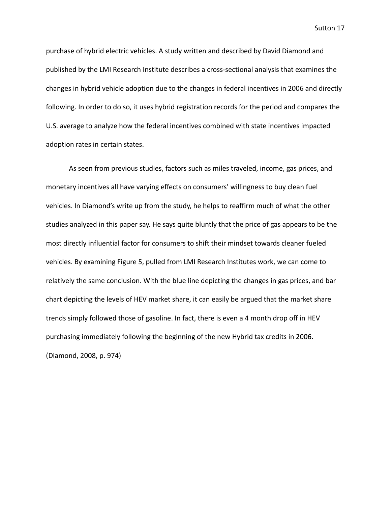purchase of hybrid electric vehicles. A study written and described by David Diamond and published by the LMI Research Institute describes a cross-sectional analysis that examines the changes in hybrid vehicle adoption due to the changes in federal incentives in 2006 and directly following. In order to do so, it uses hybrid registration records for the period and compares the U.S. average to analyze how the federal incentives combined with state incentives impacted adoption rates in certain states.

As seen from previous studies, factors such as miles traveled, income, gas prices, and monetary incentives all have varying effects on consumers' willingness to buy clean fuel vehicles. In Diamond's write up from the study, he helps to reaffirm much of what the other studies analyzed in this paper say. He says quite bluntly that the price of gas appears to be the most directly influential factor for consumers to shift their mindset towards cleaner fueled vehicles. By examining Figure 5, pulled from LMI Research Institutes work, we can come to relatively the same conclusion. With the blue line depicting the changes in gas prices, and bar chart depicting the levels of HEV market share, it can easily be argued that the market share trends simply followed those of gasoline. In fact, there is even a 4 month drop off in HEV purchasing immediately following the beginning of the new Hybrid tax credits in 2006. (Diamond, 2008, p. 974)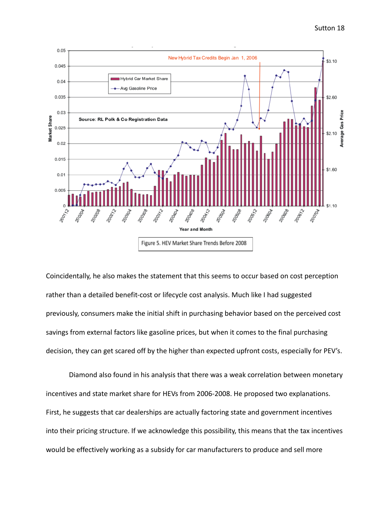

Coincidentally, he also makes the statement that this seems to occur based on cost perception rather than a detailed benefit-cost or lifecycle cost analysis. Much like I had suggested previously, consumers make the initial shift in purchasing behavior based on the perceived cost savings from external factors like gasoline prices, but when it comes to the final purchasing decision, they can get scared off by the higher than expected upfront costs, especially for PEV's.

Diamond also found in his analysis that there was a weak correlation between monetary incentives and state market share for HEVs from 2006-2008. He proposed two explanations. First, he suggests that car dealerships are actually factoring state and government incentives into their pricing structure. If we acknowledge this possibility, this means that the tax incentives would be effectively working as a subsidy for car manufacturers to produce and sell more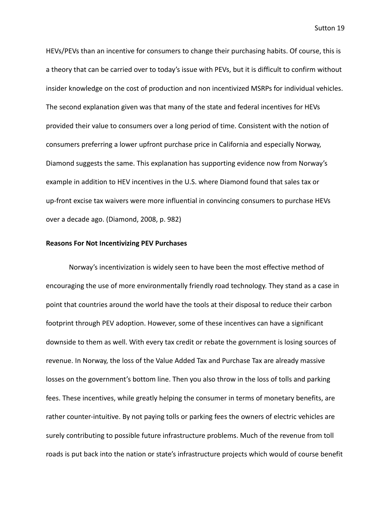HEVs/PEVs than an incentive for consumers to change their purchasing habits. Of course, this is a theory that can be carried over to today's issue with PEVs, but it is difficult to confirm without insider knowledge on the cost of production and non incentivized MSRPs for individual vehicles. The second explanation given was that many of the state and federal incentives for HEVs provided their value to consumers over a long period of time. Consistent with the notion of consumers preferring a lower upfront purchase price in California and especially Norway, Diamond suggests the same. This explanation has supporting evidence now from Norway's example in addition to HEV incentives in the U.S. where Diamond found that sales tax or up-front excise tax waivers were more influential in convincing consumers to purchase HEVs over a decade ago. (Diamond, 2008, p. 982)

## **Reasons For Not Incentivizing PEV Purchases**

Norway's incentivization is widely seen to have been the most effective method of encouraging the use of more environmentally friendly road technology. They stand as a case in point that countries around the world have the tools at their disposal to reduce their carbon footprint through PEV adoption. However, some of these incentives can have a significant downside to them as well. With every tax credit or rebate the government is losing sources of revenue. In Norway, the loss of the Value Added Tax and Purchase Tax are already massive losses on the government's bottom line. Then you also throw in the loss of tolls and parking fees. These incentives, while greatly helping the consumer in terms of monetary benefits, are rather counter-intuitive. By not paying tolls or parking fees the owners of electric vehicles are surely contributing to possible future infrastructure problems. Much of the revenue from toll roads is put back into the nation or state's infrastructure projects which would of course benefit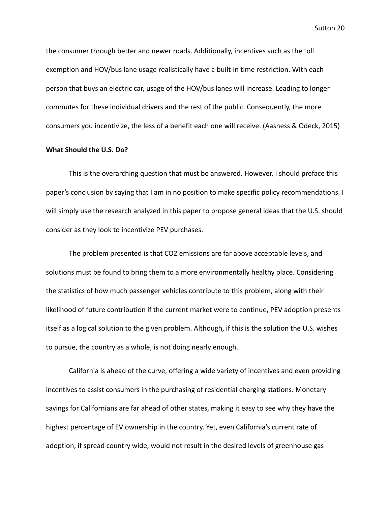the consumer through better and newer roads. Additionally, incentives such as the toll exemption and HOV/bus lane usage realistically have a built-in time restriction. With each person that buys an electric car, usage of the HOV/bus lanes will increase. Leading to longer commutes for these individual drivers and the rest of the public. Consequently, the more consumers you incentivize, the less of a benefit each one will receive. (Aasness & Odeck, 2015)

## **What Should the U.S. Do?**

This is the overarching question that must be answered. However, I should preface this paper's conclusion by saying that I am in no position to make specific policy recommendations. I will simply use the research analyzed in this paper to propose general ideas that the U.S. should consider as they look to incentivize PEV purchases.

The problem presented is that CO2 emissions are far above acceptable levels, and solutions must be found to bring them to a more environmentally healthy place. Considering the statistics of how much passenger vehicles contribute to this problem, along with their likelihood of future contribution if the current market were to continue, PEV adoption presents itself as a logical solution to the given problem. Although, if this is the solution the U.S. wishes to pursue, the country as a whole, is not doing nearly enough.

California is ahead of the curve, offering a wide variety of incentives and even providing incentives to assist consumers in the purchasing of residential charging stations. Monetary savings for Californians are far ahead of other states, making it easy to see why they have the highest percentage of EV ownership in the country. Yet, even California's current rate of adoption, if spread country wide, would not result in the desired levels of greenhouse gas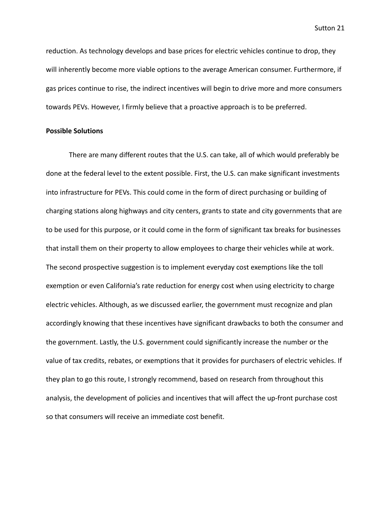reduction. As technology develops and base prices for electric vehicles continue to drop, they will inherently become more viable options to the average American consumer. Furthermore, if gas prices continue to rise, the indirect incentives will begin to drive more and more consumers towards PEVs. However, I firmly believe that a proactive approach is to be preferred.

#### **Possible Solutions**

There are many different routes that the U.S. can take, all of which would preferably be done at the federal level to the extent possible. First, the U.S. can make significant investments into infrastructure for PEVs. This could come in the form of direct purchasing or building of charging stations along highways and city centers, grants to state and city governments that are to be used for this purpose, or it could come in the form of significant tax breaks for businesses that install them on their property to allow employees to charge their vehicles while at work. The second prospective suggestion is to implement everyday cost exemptions like the toll exemption or even California's rate reduction for energy cost when using electricity to charge electric vehicles. Although, as we discussed earlier, the government must recognize and plan accordingly knowing that these incentives have significant drawbacks to both the consumer and the government. Lastly, the U.S. government could significantly increase the number or the value of tax credits, rebates, or exemptions that it provides for purchasers of electric vehicles. If they plan to go this route, I strongly recommend, based on research from throughout this analysis, the development of policies and incentives that will affect the up-front purchase cost so that consumers will receive an immediate cost benefit.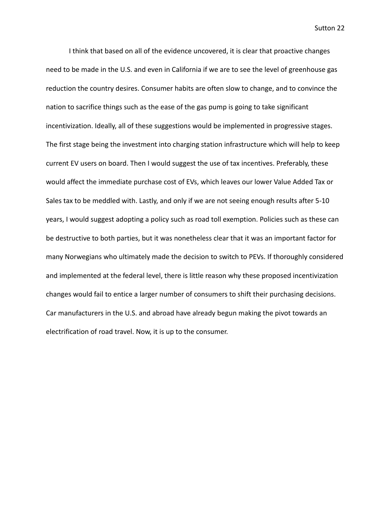I think that based on all of the evidence uncovered, it is clear that proactive changes need to be made in the U.S. and even in California if we are to see the level of greenhouse gas reduction the country desires. Consumer habits are often slow to change, and to convince the nation to sacrifice things such as the ease of the gas pump is going to take significant incentivization. Ideally, all of these suggestions would be implemented in progressive stages. The first stage being the investment into charging station infrastructure which will help to keep current EV users on board. Then I would suggest the use of tax incentives. Preferably, these would affect the immediate purchase cost of EVs, which leaves our lower Value Added Tax or Sales tax to be meddled with. Lastly, and only if we are not seeing enough results after 5-10 years, I would suggest adopting a policy such as road toll exemption. Policies such as these can be destructive to both parties, but it was nonetheless clear that it was an important factor for many Norwegians who ultimately made the decision to switch to PEVs. If thoroughly considered and implemented at the federal level, there is little reason why these proposed incentivization changes would fail to entice a larger number of consumers to shift their purchasing decisions. Car manufacturers in the U.S. and abroad have already begun making the pivot towards an electrification of road travel. Now, it is up to the consumer.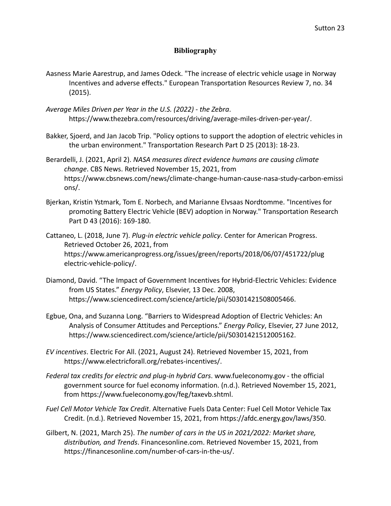# **Bibliography**

- Aasness Marie Aarestrup, and James Odeck. "The increase of electric vehicle usage in Norway Incentives and adverse effects." European Transportation Resources Review 7, no. 34 (2015).
- *Average Miles Driven per Year in the U.S. (2022) the Zebra*. https://www.thezebra.com/resources/driving/average-miles-driven-per-year/.
- Bakker, Sjoerd, and Jan Jacob Trip. "Policy options to support the adoption of electric vehicles in the urban environment." Transportation Research Part D 25 (2013): 18-23.
- Berardelli, J. (2021, April 2). *NASA measures direct evidence humans are causing climate change*. CBS News. Retrieved November 15, 2021, from https://www.cbsnews.com/news/climate-change-human-cause-nasa-study-carbon-emissi ons/.
- Bjerkan, Kristin Ystmark, Tom E. Norbech, and Marianne Elvsaas Nordtomme. "Incentives for promoting Battery Electric Vehicle (BEV) adoption in Norway." Transportation Research Part D 43 (2016): 169-180.
- Cattaneo, L. (2018, June 7). *Plug-in electric vehicle policy*. Center for American Progress. Retrieved October 26, 2021, from [https://www.americanprogress.org/issues/green/reports/2018/06/07/451722/plug](https://www.americanprogress.org/issues/green/reports/2018/06/07/451722/plug%20electric-vehicle-policy/) [electric-vehicle-policy/.](https://www.americanprogress.org/issues/green/reports/2018/06/07/451722/plug%20electric-vehicle-policy/)
- Diamond, David. "The Impact of Government Incentives for Hybrid-Electric Vehicles: Evidence from US States." *Energy Policy*, Elsevier, 13 Dec. 2008, https://www.sciencedirect.com/science/article/pii/S0301421508005466.
- Egbue, Ona, and Suzanna Long. "Barriers to Widespread Adoption of Electric Vehicles: An Analysis of Consumer Attitudes and Perceptions." *Energy Policy*, Elsevier, 27 June 2012, https://www.sciencedirect.com/science/article/pii/S0301421512005162.
- *EV incentives*. Electric For All. (2021, August 24). Retrieved November 15, 2021, from https://www.electricforall.org/rebates-incentives/.
- *Federal tax credits for electric and plug-in hybrid Cars*. www.fueleconomy.gov the official government source for fuel economy information. (n.d.). Retrieved November 15, 2021, from https://www.fueleconomy.gov/feg/taxevb.shtml.
- *Fuel Cell Motor Vehicle Tax Credit*. Alternative Fuels Data Center: Fuel Cell Motor Vehicle Tax Credit. (n.d.). Retrieved November 15, 2021, from https://afdc.energy.gov/laws/350.
- Gilbert, N. (2021, March 25). *The number of cars in the US in 2021/2022: Market share, distribution, and Trends*. Financesonline.com. Retrieved November 15, 2021, from https://financesonline.com/number-of-cars-in-the-us/.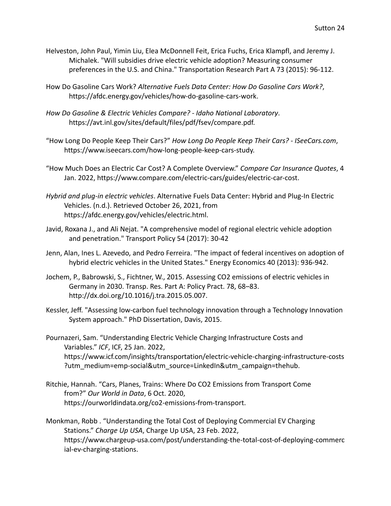- Helveston, John Paul, Yimin Liu, Elea McDonnell Feit, Erica Fuchs, Erica Klampfl, and Jeremy J. Michalek. "Will subsidies drive electric vehicle adoption? Measuring consumer preferences in the U.S. and China." Transportation Research Part A 73 (2015): 96-112.
- How Do Gasoline Cars Work? *Alternative Fuels Data Center: How Do Gasoline Cars Work?*, https://afdc.energy.gov/vehicles/how-do-gasoline-cars-work.
- *How Do Gasoline & Electric Vehicles Compare? Idaho National Laboratory*. https://avt.inl.gov/sites/default/files/pdf/fsev/compare.pdf.
- "How Long Do People Keep Their Cars?" *How Long Do People Keep Their Cars? ISeeCars.com*, https://www.iseecars.com/how-long-people-keep-cars-study.
- "How Much Does an Electric Car Cost? A Complete Overview." *Compare Car Insurance Quotes*, 4 Jan. 2022, https://www.compare.com/electric-cars/guides/electric-car-cost.
- *Hybrid and plug-in electric vehicles*. Alternative Fuels Data Center: Hybrid and Plug-In Electric Vehicles. (n.d.). Retrieved October 26, 2021, from <https://afdc.energy.gov/vehicles/electric.html>.
- Javid, Roxana J., and Ali Nejat. "A comprehensive model of regional electric vehicle adoption and penetration." Transport Policy 54 (2017): 30-42
- Jenn, Alan, Ines L. Azevedo, and Pedro Ferreira. "The impact of federal incentives on adoption of hybrid electric vehicles in the United States." Energy Economics 40 (2013): 936-942.
- Jochem, P., Babrowski, S., Fichtner, W., 2015. Assessing CO2 emissions of electric vehicles in Germany in 2030. Transp. Res. Part A: Policy Pract. 78, 68–83. http://dx.doi.org/10.1016/j.tra.2015.05.007.
- Kessler, Jeff. "Assessing low-carbon fuel technology innovation through a Technology Innovation System approach." PhD Dissertation, Davis, 2015.
- Pournazeri, Sam. "Understanding Electric Vehicle Charging Infrastructure Costs and Variables." *ICF*, ICF, 25 Jan. 2022, https://www.icf.com/insights/transportation/electric-vehicle-charging-infrastructure-costs ?utm\_medium=emp-social&utm\_source=LinkedIn&utm\_campaign=thehub.
- Ritchie, Hannah. "Cars, Planes, Trains: Where Do CO2 Emissions from Transport Come from?" *Our World in Data*, 6 Oct. 2020, https://ourworldindata.org/co2-emissions-from-transport.
- Monkman, Robb . "Understanding the Total Cost of Deploying Commercial EV Charging Stations." *Charge Up USA*, Charge Up USA, 23 Feb. 2022, https://www.chargeup-usa.com/post/understanding-the-total-cost-of-deploying-commerc ial-ev-charging-stations.